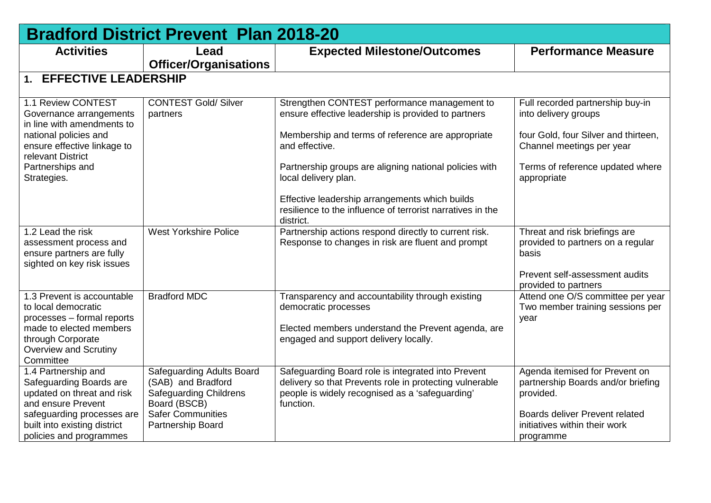| <b>Expected Milestone/Outcomes</b>                                                                                        | <b>Performance Measure</b>                                                    |
|---------------------------------------------------------------------------------------------------------------------------|-------------------------------------------------------------------------------|
|                                                                                                                           |                                                                               |
|                                                                                                                           |                                                                               |
| Strengthen CONTEST performance management to<br>ensure effective leadership is provided to partners                       | Full recorded partnership buy-in<br>into delivery groups                      |
| Membership and terms of reference are appropriate<br>and effective.                                                       | four Gold, four Silver and thirteen,<br>Channel meetings per year             |
| Partnership groups are aligning national policies with<br>local delivery plan.                                            | Terms of reference updated where<br>appropriate                               |
| Effective leadership arrangements which builds<br>resilience to the influence of terrorist narratives in the<br>district. |                                                                               |
| Partnership actions respond directly to current risk.<br>Response to changes in risk are fluent and prompt                | Threat and risk briefings are<br>provided to partners on a regular<br>basis   |
|                                                                                                                           | Prevent self-assessment audits<br>provided to partners                        |
| Transparency and accountability through existing<br>democratic processes                                                  | Attend one O/S committee per year<br>Two member training sessions per<br>year |
| engaged and support delivery locally.                                                                                     |                                                                               |
| Safeguarding Board role is integrated into Prevent                                                                        | Agenda itemised for Prevent on                                                |
| delivery so that Prevents role in protecting vulnerable<br>people is widely recognised as a 'safeguarding'<br>function.   | partnership Boards and/or briefing<br>provided.                               |
|                                                                                                                           | Boards deliver Prevent related<br>initiatives within their work<br>programme  |
|                                                                                                                           | Elected members understand the Prevent agenda, are                            |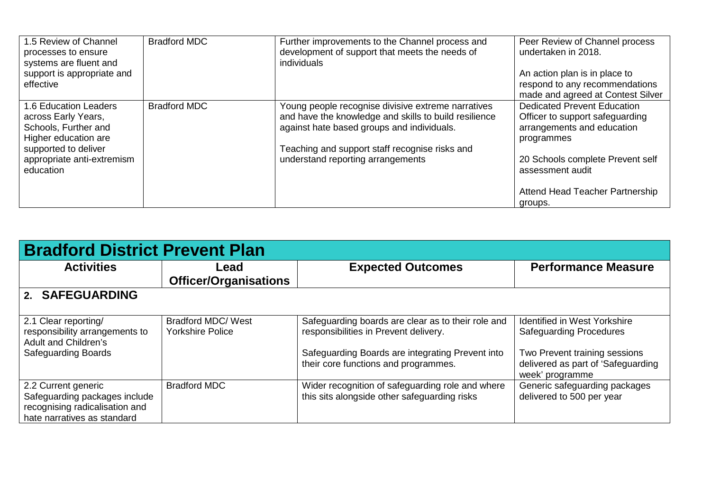| 1.5 Review of Channel<br>processes to ensure<br>systems are fluent and<br>support is appropriate and                                                            | <b>Bradford MDC</b> | Further improvements to the Channel process and<br>development of support that meets the needs of<br>individuals                                                                                                                                 | Peer Review of Channel process<br>undertaken in 2018.<br>An action plan is in place to                                                                                    |
|-----------------------------------------------------------------------------------------------------------------------------------------------------------------|---------------------|--------------------------------------------------------------------------------------------------------------------------------------------------------------------------------------------------------------------------------------------------|---------------------------------------------------------------------------------------------------------------------------------------------------------------------------|
| effective                                                                                                                                                       |                     |                                                                                                                                                                                                                                                  | respond to any recommendations<br>made and agreed at Contest Silver                                                                                                       |
| 1.6 Education Leaders<br>across Early Years,<br>Schools, Further and<br>Higher education are<br>supported to deliver<br>appropriate anti-extremism<br>education | <b>Bradford MDC</b> | Young people recognise divisive extreme narratives<br>and have the knowledge and skills to build resilience<br>against hate based groups and individuals.<br>Teaching and support staff recognise risks and<br>understand reporting arrangements | <b>Dedicated Prevent Education</b><br>Officer to support safeguarding<br>arrangements and education<br>programmes<br>20 Schools complete Prevent self<br>assessment audit |
|                                                                                                                                                                 |                     |                                                                                                                                                                                                                                                  | Attend Head Teacher Partnership<br>groups.                                                                                                                                |

| <b>Bradford District Prevent Plan</b>                                                                                 |                                                      |                                                                                                                                                                                         |                                                                                                                                                                 |  |
|-----------------------------------------------------------------------------------------------------------------------|------------------------------------------------------|-----------------------------------------------------------------------------------------------------------------------------------------------------------------------------------------|-----------------------------------------------------------------------------------------------------------------------------------------------------------------|--|
| <b>Activities</b>                                                                                                     | Lead<br><b>Officer/Organisations</b>                 | <b>Expected Outcomes</b>                                                                                                                                                                | <b>Performance Measure</b>                                                                                                                                      |  |
| 2. SAFEGUARDING                                                                                                       |                                                      |                                                                                                                                                                                         |                                                                                                                                                                 |  |
| 2.1 Clear reporting/<br>responsibility arrangements to<br>Adult and Children's<br><b>Safeguarding Boards</b>          | <b>Bradford MDC/ West</b><br><b>Yorkshire Police</b> | Safeguarding boards are clear as to their role and<br>responsibilities in Prevent delivery.<br>Safeguarding Boards are integrating Prevent into<br>their core functions and programmes. | <b>Identified in West Yorkshire</b><br><b>Safeguarding Procedures</b><br>Two Prevent training sessions<br>delivered as part of 'Safeguarding<br>week' programme |  |
| 2.2 Current generic<br>Safeguarding packages include<br>recognising radicalisation and<br>hate narratives as standard | <b>Bradford MDC</b>                                  | Wider recognition of safeguarding role and where<br>this sits alongside other safeguarding risks                                                                                        | Generic safeguarding packages<br>delivered to 500 per year                                                                                                      |  |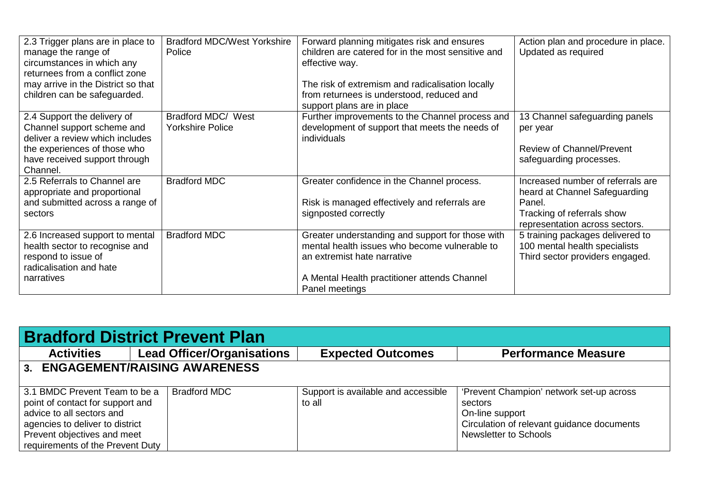| 2.3 Trigger plans are in place to<br>manage the range of<br>circumstances in which any<br>returnees from a conflict zone<br>may arrive in the District so that<br>children can be safeguarded. | <b>Bradford MDC/West Yorkshire</b><br>Police  | Forward planning mitigates risk and ensures<br>children are catered for in the most sensitive and<br>effective way.<br>The risk of extremism and radicalisation locally<br>from returnees is understood, reduced and<br>support plans are in place | Action plan and procedure in place.<br>Updated as required                                                                                   |
|------------------------------------------------------------------------------------------------------------------------------------------------------------------------------------------------|-----------------------------------------------|----------------------------------------------------------------------------------------------------------------------------------------------------------------------------------------------------------------------------------------------------|----------------------------------------------------------------------------------------------------------------------------------------------|
| 2.4 Support the delivery of<br>Channel support scheme and<br>deliver a review which includes<br>the experiences of those who<br>have received support through<br>Channel.                      | Bradford MDC/ West<br><b>Yorkshire Police</b> | Further improvements to the Channel process and<br>development of support that meets the needs of<br>individuals                                                                                                                                   | 13 Channel safeguarding panels<br>per year<br><b>Review of Channel/Prevent</b><br>safeguarding processes.                                    |
| 2.5 Referrals to Channel are<br>appropriate and proportional<br>and submitted across a range of<br>sectors                                                                                     | <b>Bradford MDC</b>                           | Greater confidence in the Channel process.<br>Risk is managed effectively and referrals are<br>signposted correctly                                                                                                                                | Increased number of referrals are<br>heard at Channel Safeguarding<br>Panel.<br>Tracking of referrals show<br>representation across sectors. |
| 2.6 Increased support to mental<br>health sector to recognise and<br>respond to issue of<br>radicalisation and hate<br>narratives                                                              | <b>Bradford MDC</b>                           | Greater understanding and support for those with<br>mental health issues who become vulnerable to<br>an extremist hate narrative<br>A Mental Health practitioner attends Channel<br>Panel meetings                                                 | 5 training packages delivered to<br>100 mental health specialists<br>Third sector providers engaged.                                         |

| <b>Bradford District Prevent Plan</b> |                                   |                                     |                                            |  |  |
|---------------------------------------|-----------------------------------|-------------------------------------|--------------------------------------------|--|--|
| <b>Activities</b>                     | <b>Lead Officer/Organisations</b> | <b>Expected Outcomes</b>            | <b>Performance Measure</b>                 |  |  |
| 3. ENGAGEMENT/RAISING AWARENESS       |                                   |                                     |                                            |  |  |
| 3.1 BMDC Prevent Team to be a         | <b>Bradford MDC</b>               | Support is available and accessible | 'Prevent Champion' network set-up across   |  |  |
| point of contact for support and      |                                   | to all                              | sectors                                    |  |  |
| advice to all sectors and             |                                   |                                     | On-line support                            |  |  |
| agencies to deliver to district       |                                   |                                     | Circulation of relevant guidance documents |  |  |
| Prevent objectives and meet           |                                   |                                     | Newsletter to Schools                      |  |  |
| requirements of the Prevent Duty      |                                   |                                     |                                            |  |  |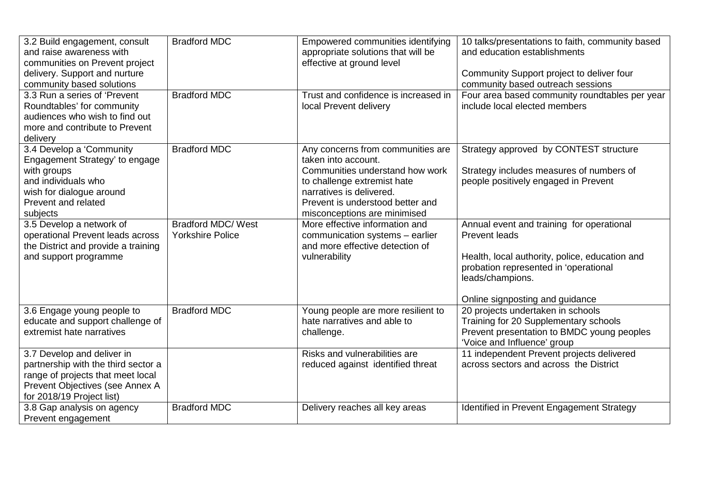| 3.2 Build engagement, consult<br>and raise awareness with<br>communities on Prevent project<br>delivery. Support and nurture<br>community based solutions              | <b>Bradford MDC</b>                                  | Empowered communities identifying<br>appropriate solutions that will be<br>effective at ground level                                                                                                                       | 10 talks/presentations to faith, community based<br>and education establishments<br>Community Support project to deliver four<br>community based outreach sessions                                                  |
|------------------------------------------------------------------------------------------------------------------------------------------------------------------------|------------------------------------------------------|----------------------------------------------------------------------------------------------------------------------------------------------------------------------------------------------------------------------------|---------------------------------------------------------------------------------------------------------------------------------------------------------------------------------------------------------------------|
| 3.3 Run a series of 'Prevent<br>Roundtables' for community<br>audiences who wish to find out<br>more and contribute to Prevent<br>delivery                             | <b>Bradford MDC</b>                                  | Trust and confidence is increased in<br>local Prevent delivery                                                                                                                                                             | Four area based community roundtables per year<br>include local elected members                                                                                                                                     |
| 3.4 Develop a 'Community<br>Engagement Strategy' to engage<br>with groups<br>and individuals who<br>wish for dialogue around<br>Prevent and related<br>subjects        | <b>Bradford MDC</b>                                  | Any concerns from communities are<br>taken into account.<br>Communities understand how work<br>to challenge extremist hate<br>narratives is delivered.<br>Prevent is understood better and<br>misconceptions are minimised | Strategy approved by CONTEST structure<br>Strategy includes measures of numbers of<br>people positively engaged in Prevent                                                                                          |
| 3.5 Develop a network of<br>operational Prevent leads across<br>the District and provide a training<br>and support programme                                           | <b>Bradford MDC/ West</b><br><b>Yorkshire Police</b> | More effective information and<br>communication systems - earlier<br>and more effective detection of<br>vulnerability                                                                                                      | Annual event and training for operational<br><b>Prevent leads</b><br>Health, local authority, police, education and<br>probation represented in 'operational<br>leads/champions.<br>Online signposting and guidance |
| 3.6 Engage young people to<br>educate and support challenge of<br>extremist hate narratives                                                                            | <b>Bradford MDC</b>                                  | Young people are more resilient to<br>hate narratives and able to<br>challenge.                                                                                                                                            | 20 projects undertaken in schools<br>Training for 20 Supplementary schools<br>Prevent presentation to BMDC young peoples<br>'Voice and Influence' group                                                             |
| 3.7 Develop and deliver in<br>partnership with the third sector a<br>range of projects that meet local<br>Prevent Objectives (see Annex A<br>for 2018/19 Project list) |                                                      | Risks and vulnerabilities are<br>reduced against identified threat                                                                                                                                                         | 11 independent Prevent projects delivered<br>across sectors and across the District                                                                                                                                 |
| 3.8 Gap analysis on agency<br>Prevent engagement                                                                                                                       | <b>Bradford MDC</b>                                  | Delivery reaches all key areas                                                                                                                                                                                             | Identified in Prevent Engagement Strategy                                                                                                                                                                           |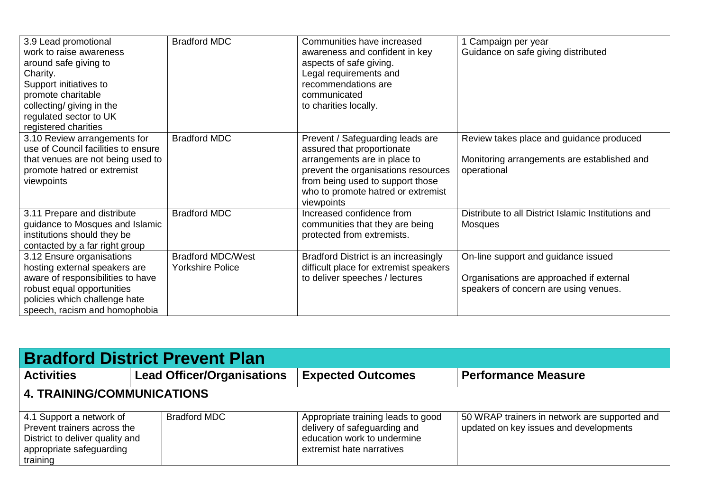| 3.9 Lead promotional<br>work to raise awareness<br>around safe giving to<br>Charity.<br>Support initiatives to<br>promote charitable<br>collecting/ giving in the<br>regulated sector to UK<br>registered charities | <b>Bradford MDC</b>                                 | Communities have increased<br>awareness and confident in key<br>aspects of safe giving.<br>Legal requirements and<br>recommendations are<br>communicated<br>to charities locally.                                             | 1 Campaign per year<br>Guidance on safe giving distributed                                                               |
|---------------------------------------------------------------------------------------------------------------------------------------------------------------------------------------------------------------------|-----------------------------------------------------|-------------------------------------------------------------------------------------------------------------------------------------------------------------------------------------------------------------------------------|--------------------------------------------------------------------------------------------------------------------------|
| 3.10 Review arrangements for<br>use of Council facilities to ensure<br>that venues are not being used to<br>promote hatred or extremist<br>viewpoints                                                               | <b>Bradford MDC</b>                                 | Prevent / Safeguarding leads are<br>assured that proportionate<br>arrangements are in place to<br>prevent the organisations resources<br>from being used to support those<br>who to promote hatred or extremist<br>viewpoints | Review takes place and guidance produced<br>Monitoring arrangements are established and<br>operational                   |
| 3.11 Prepare and distribute<br>guidance to Mosques and Islamic<br>institutions should they be<br>contacted by a far right group                                                                                     | <b>Bradford MDC</b>                                 | Increased confidence from<br>communities that they are being<br>protected from extremists.                                                                                                                                    | Distribute to all District Islamic Institutions and<br><b>Mosques</b>                                                    |
| 3.12 Ensure organisations<br>hosting external speakers are<br>aware of responsibilities to have<br>robust equal opportunities<br>policies which challenge hate<br>speech, racism and homophobia                     | <b>Bradford MDC/West</b><br><b>Yorkshire Police</b> | Bradford District is an increasingly<br>difficult place for extremist speakers<br>to deliver speeches / lectures                                                                                                              | On-line support and guidance issued<br>Organisations are approached if external<br>speakers of concern are using venues. |

| <b>Bradford District Prevent Plan</b>                                                                                              |  |                                   |                                                                                                                                |                                                                                         |  |
|------------------------------------------------------------------------------------------------------------------------------------|--|-----------------------------------|--------------------------------------------------------------------------------------------------------------------------------|-----------------------------------------------------------------------------------------|--|
| <b>Activities</b>                                                                                                                  |  | <b>Lead Officer/Organisations</b> | <b>Expected Outcomes</b>                                                                                                       | <b>Performance Measure</b>                                                              |  |
| <b>4. TRAINING/COMMUNICATIONS</b>                                                                                                  |  |                                   |                                                                                                                                |                                                                                         |  |
| 4.1 Support a network of<br>Prevent trainers across the<br>District to deliver quality and<br>appropriate safeguarding<br>training |  | <b>Bradford MDC</b>               | Appropriate training leads to good<br>delivery of safeguarding and<br>education work to undermine<br>extremist hate narratives | 50 WRAP trainers in network are supported and<br>updated on key issues and developments |  |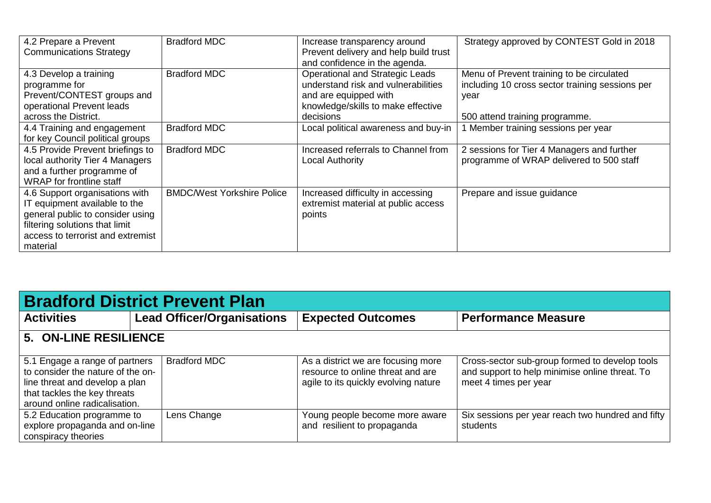| 4.2 Prepare a Prevent<br><b>Communications Strategy</b>                                                                                                                                | <b>Bradford MDC</b>               | Increase transparency around<br>Prevent delivery and help build trust<br>and confidence in the agenda.                                                    | Strategy approved by CONTEST Gold in 2018                                                                                              |
|----------------------------------------------------------------------------------------------------------------------------------------------------------------------------------------|-----------------------------------|-----------------------------------------------------------------------------------------------------------------------------------------------------------|----------------------------------------------------------------------------------------------------------------------------------------|
| 4.3 Develop a training<br>programme for<br>Prevent/CONTEST groups and<br>operational Prevent leads<br>across the District.                                                             | <b>Bradford MDC</b>               | <b>Operational and Strategic Leads</b><br>understand risk and vulnerabilities<br>and are equipped with<br>knowledge/skills to make effective<br>decisions | Menu of Prevent training to be circulated<br>including 10 cross sector training sessions per<br>year<br>500 attend training programme. |
| 4.4 Training and engagement<br>for key Council political groups                                                                                                                        | <b>Bradford MDC</b>               | Local political awareness and buy-in                                                                                                                      | 1 Member training sessions per year                                                                                                    |
| 4.5 Provide Prevent briefings to<br>local authority Tier 4 Managers<br>and a further programme of<br><b>WRAP</b> for frontline staff                                                   | <b>Bradford MDC</b>               | Increased referrals to Channel from<br>Local Authority                                                                                                    | 2 sessions for Tier 4 Managers and further<br>programme of WRAP delivered to 500 staff                                                 |
| 4.6 Support organisations with<br>IT equipment available to the<br>general public to consider using<br>filtering solutions that limit<br>access to terrorist and extremist<br>material | <b>BMDC/West Yorkshire Police</b> | Increased difficulty in accessing<br>extremist material at public access<br>points                                                                        | Prepare and issue guidance                                                                                                             |

| <b>Bradford District Prevent Plan</b>                                                                                                                                  |                       |                                   |                                                                                                                 |                                                                                                                           |  |
|------------------------------------------------------------------------------------------------------------------------------------------------------------------------|-----------------------|-----------------------------------|-----------------------------------------------------------------------------------------------------------------|---------------------------------------------------------------------------------------------------------------------------|--|
| <b>Activities</b>                                                                                                                                                      |                       | <b>Lead Officer/Organisations</b> | <b>Expected Outcomes</b>                                                                                        | <b>Performance Measure</b>                                                                                                |  |
|                                                                                                                                                                        | 5. ON-LINE RESILIENCE |                                   |                                                                                                                 |                                                                                                                           |  |
| 5.1 Engage a range of partners<br>to consider the nature of the on-<br>line threat and develop a plan<br>that tackles the key threats<br>around online radicalisation. |                       | <b>Bradford MDC</b>               | As a district we are focusing more<br>resource to online threat and are<br>agile to its quickly evolving nature | Cross-sector sub-group formed to develop tools<br>and support to help minimise online threat. To<br>meet 4 times per year |  |
| 5.2 Education programme to<br>explore propaganda and on-line<br>conspiracy theories                                                                                    |                       | Lens Change                       | Young people become more aware<br>and resilient to propaganda                                                   | Six sessions per year reach two hundred and fifty<br>students                                                             |  |